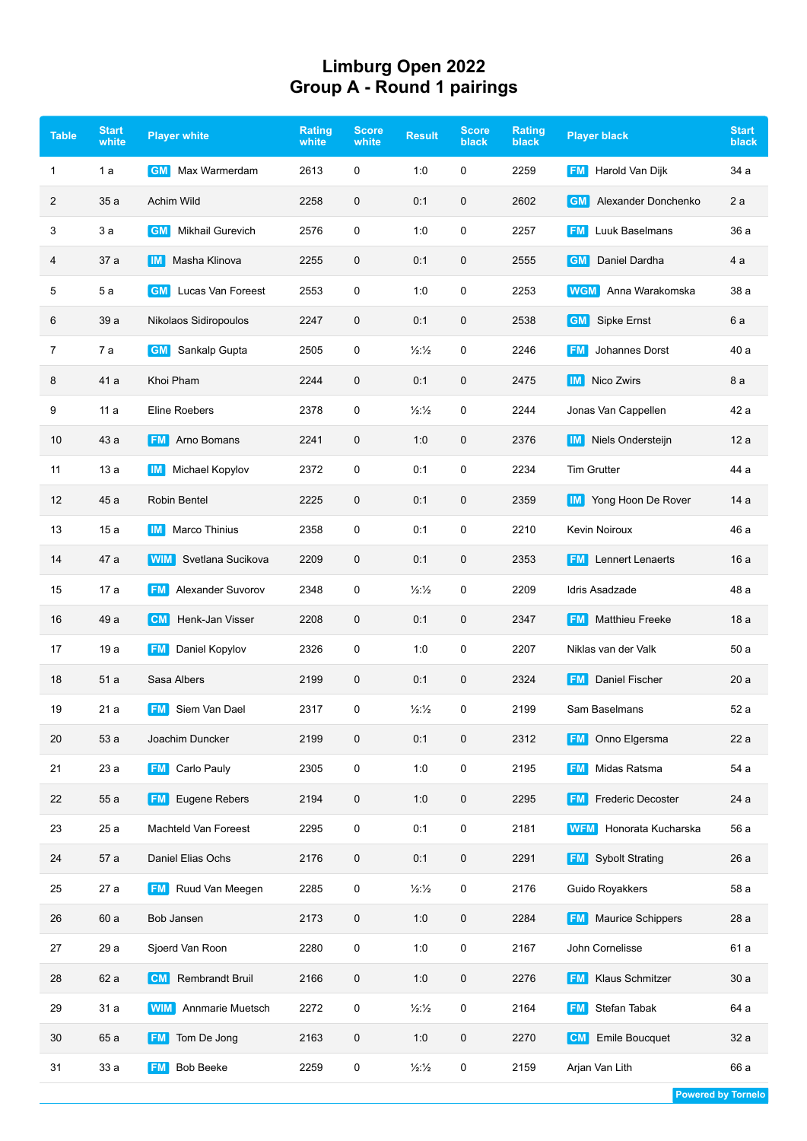## **Limburg Open 2022 Group A - Round 1 pairings**

| <b>Table</b> | <b>Start</b><br>white | <b>Player white</b>                  | Rating<br>white | <b>Score</b><br>white | <b>Result</b>            | <b>Score</b><br>black | <b>Rating</b><br><b>black</b> | <b>Player black</b>                   | <b>Start</b><br>black |
|--------------|-----------------------|--------------------------------------|-----------------|-----------------------|--------------------------|-----------------------|-------------------------------|---------------------------------------|-----------------------|
| 1            | 1 a                   | Max Warmerdam<br><b>GM</b>           | 2613            | 0                     | 1:0                      | 0                     | 2259                          | <b>FM</b><br>Harold Van Dijk          | 34 a                  |
| 2            | 35a                   | Achim Wild                           | 2258            | $\mathbf 0$           | 0:1                      | 0                     | 2602                          | Alexander Donchenko<br><b>GM</b>      | 2a                    |
| 3            | 3 a                   | <b>Mikhail Gurevich</b><br><b>GM</b> | 2576            | 0                     | 1:0                      | 0                     | 2257                          | Luuk Baselmans<br><b>FM</b>           | 36 a                  |
| 4            | 37 a                  | Masha Klinova<br>  IM                | 2255            | $\mathbf 0$           | 0:1                      | 0                     | 2555                          | Daniel Dardha<br><b>GM</b>            | 4 a                   |
| 5            | 5a                    | <b>GM</b> Lucas Van Foreest          | 2553            | 0                     | 1:0                      | 0                     | 2253                          | Anna Warakomska<br><b>WGM</b>         | 38 a                  |
| 6            | 39 a                  | Nikolaos Sidiropoulos                | 2247            | $\mathbf 0$           | 0:1                      | 0                     | 2538                          | <b>Sipke Ernst</b><br><b>GM</b>       | 6 a                   |
| 7            | 7a                    | <b>GM</b><br>Sankalp Gupta           | 2505            | $\pmb{0}$             | $\frac{1}{2}\frac{1}{2}$ | 0                     | 2246                          | Johannes Dorst<br>FM.                 | 40 a                  |
| 8            | 41 a                  | Khoi Pham                            | 2244            | $\mathbf 0$           | 0:1                      | 0                     | 2475                          | Nico Zwirs<br>$\blacksquare$          | 8 a                   |
| 9            | 11a                   | <b>Eline Roebers</b>                 | 2378            | 0                     | 1/2:1/2                  | 0                     | 2244                          | Jonas Van Cappellen                   | 42 a                  |
| 10           | 43 a                  | <b>FM</b><br>Arno Bomans             | 2241            | 0                     | 1:0                      | 0                     | 2376                          | Niels Ondersteijn<br>IM I             | 12 a                  |
| 11           | 13a                   | Michael Kopylov<br>IM I              | 2372            | 0                     | 0:1                      | 0                     | 2234                          | <b>Tim Grutter</b>                    | 44 a                  |
| 12           | 45 a                  | <b>Robin Bentel</b>                  | 2225            | $\mathbf 0$           | 0:1                      | 0                     | 2359                          | <b>IM</b> Yong Hoon De Rover          | 14 a                  |
| 13           | 15 a                  | Marco Thinius<br>IM I                | 2358            | 0                     | 0:1                      | 0                     | 2210                          | <b>Kevin Noiroux</b>                  | 46 a                  |
| 14           | 47 a                  | <b>WIM</b><br>Svetlana Sucikova      | 2209            | $\mathbf 0$           | 0:1                      | 0                     | 2353                          | <b>Lennert Lenaerts</b><br><b>FM</b>  | 16 a                  |
| 15           | 17 a                  | <b>FM</b><br>Alexander Suvorov       | 2348            | 0                     | $\frac{1}{2}\frac{1}{2}$ | 0                     | 2209                          | Idris Asadzade                        | 48 a                  |
| 16           | 49 a                  | Henk-Jan Visser<br> CM               | 2208            | $\mathbf 0$           | 0:1                      | 0                     | 2347                          | <b>Matthieu Freeke</b><br>FM I        | 18 a                  |
| 17           | 19 a                  | Daniel Kopylov<br><b>FM</b>          | 2326            | 0                     | 1:0                      | 0                     | 2207                          | Niklas van der Valk                   | 50a                   |
| 18           | 51a                   | Sasa Albers                          | 2199            | 0                     | 0:1                      | 0                     | 2324                          | Daniel Fischer<br><b>FM</b>           | 20a                   |
| 19           | 21 a                  | Siem Van Dael<br><b>FM</b>           | 2317            | 0                     | 1/2:1/2                  | 0                     | 2199                          | Sam Baselmans                         | 52 a                  |
| 20           | 53 a                  | Joachim Duncker                      | 2199            | 0                     | 0:1                      | 0                     | 2312                          | Onno Elgersma<br><b>FM</b>            | 22 a                  |
| 21           | 23 a                  | Carlo Pauly<br><b>FM</b>             | 2305            | $\pmb{0}$             | 1:0                      | 0                     | 2195                          | Midas Ratsma<br><b>FM</b>             | 54 a                  |
| 22           | 55 a                  | Eugene Rebers<br><b>FM</b>           | 2194            | 0                     | 1:0                      | 0                     | 2295                          | <b>Frederic Decoster</b><br><b>FM</b> | 24 a                  |
| 23           | 25 a                  | Machteld Van Foreest                 | 2295            | 0                     | 0:1                      | 0                     | 2181                          | Honorata Kucharska<br>WFM             | 56 a                  |
| 24           | 57 a                  | Daniel Elias Ochs                    | 2176            | 0                     | 0:1                      | 0                     | 2291                          | <b>FM</b> Sybolt Strating             | 26 a                  |
| 25           | 27 a                  | Ruud Van Meegen<br><b>FM</b>         | 2285            | 0                     | 1/2:1/2                  | 0                     | 2176                          | Guido Royakkers                       | 58 a                  |
| 26           | 60 a                  | Bob Jansen                           | 2173            | 0                     | 1:0                      | 0                     | 2284                          | <b>Maurice Schippers</b><br><b>FM</b> | 28 a                  |
| 27           | 29 a                  | Sjoerd Van Roon                      | 2280            | $\pmb{0}$             | 1:0                      | 0                     | 2167                          | John Cornelisse                       | 61 a                  |
| 28           | 62 a                  | <b>Rembrandt Bruil</b><br><b>CM</b>  | 2166            | $\pmb{0}$             | 1:0                      | 0                     | 2276                          | <b>Klaus Schmitzer</b><br>FM I        | 30a                   |
| 29           | 31 a                  | <b>WIM</b><br>Annmarie Muetsch       | 2272            | $\pmb{0}$             | $\frac{1}{2}\frac{1}{2}$ | 0                     | 2164                          | Stefan Tabak<br><b>FM</b>             | 64 a                  |
| 30           | 65 a                  | Tom De Jong<br><b>FM</b>             | 2163            | 0                     | 1:0                      | 0                     | 2270                          | <b>Emile Boucquet</b><br><b>CM</b>    | 32 a                  |
| 31           | 33 a                  | <b>Bob Beeke</b><br><b>FM</b>        | 2259            | 0                     | $\frac{1}{2}\frac{1}{2}$ | 0                     | 2159                          | Arjan Van Lith                        | 66 a                  |
|              |                       |                                      |                 |                       |                          |                       |                               |                                       |                       |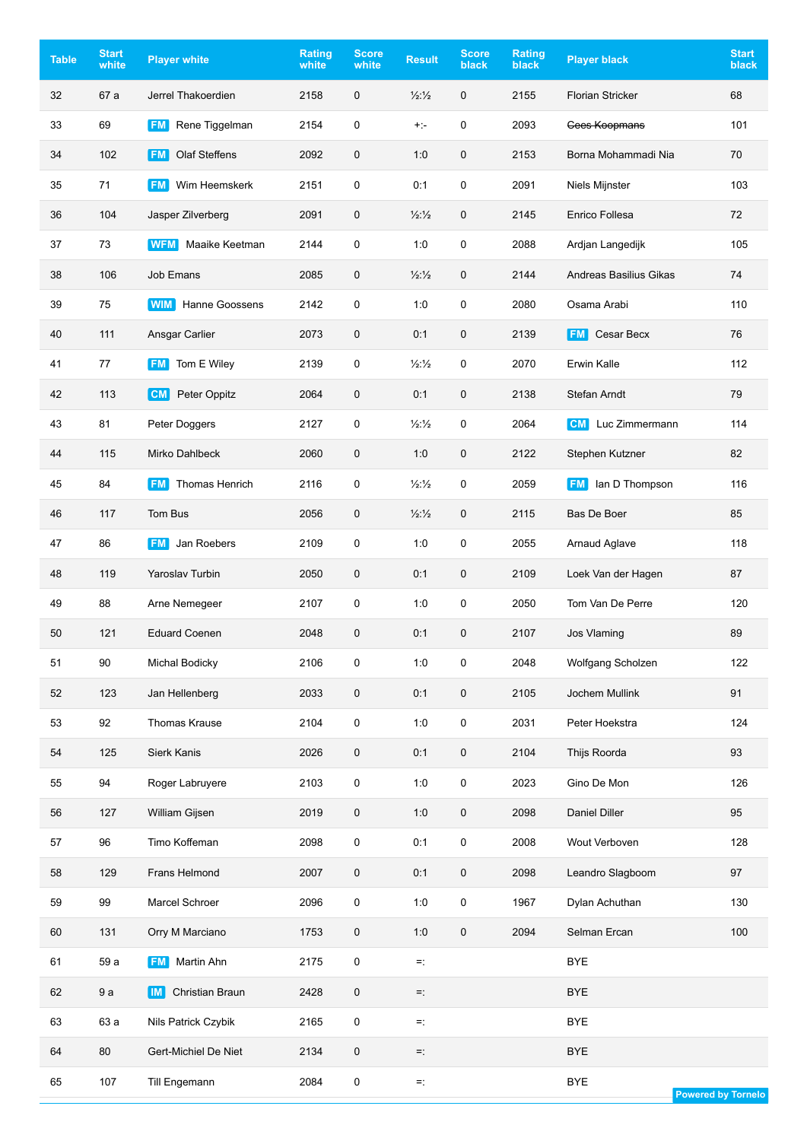| <b>Table</b> | <b>Start</b><br>white | <b>Player white</b>               | <b>Rating</b><br>white | <b>Score</b><br>white | <b>Result</b>            | <b>Score</b><br>black | Rating<br><b>black</b> | <b>Player black</b>      | <b>Start</b><br>black     |
|--------------|-----------------------|-----------------------------------|------------------------|-----------------------|--------------------------|-----------------------|------------------------|--------------------------|---------------------------|
| 32           | 67 a                  | Jerrel Thakoerdien                | 2158                   | $\pmb{0}$             | $\frac{1}{2}\frac{1}{2}$ | $\mathbf 0$           | 2155                   | <b>Florian Stricker</b>  | 68                        |
| 33           | 69                    | Rene Tiggelman<br><b>FM</b>       | 2154                   | $\pmb{0}$             | $+:-$                    | 0                     | 2093                   | Cees Koopmans            | 101                       |
| 34           | 102                   | <b>Olaf Steffens</b><br><b>FM</b> | 2092                   | 0                     | 1:0                      | 0                     | 2153                   | Borna Mohammadi Nia      | 70                        |
| 35           | 71                    | Wim Heemskerk<br><b>FM</b>        | 2151                   | $\pmb{0}$             | 0:1                      | $\pmb{0}$             | 2091                   | Niels Mijnster           | 103                       |
| 36           | 104                   | Jasper Zilverberg                 | 2091                   | 0                     | 1/2:1/2                  | 0                     | 2145                   | Enrico Follesa           | 72                        |
| 37           | 73                    | Maaike Keetman<br><b>WFM</b>      | 2144                   | 0                     | 1:0                      | 0                     | 2088                   | Ardjan Langedijk         | 105                       |
| 38           | 106                   | Job Emans                         | 2085                   | $\pmb{0}$             | 1/2:1/2                  | 0                     | 2144                   | Andreas Basilius Gikas   | 74                        |
| 39           | 75                    | Hanne Goossens<br><b>WIM</b>      | 2142                   | $\pmb{0}$             | 1:0                      | 0                     | 2080                   | Osama Arabi              | 110                       |
| 40           | 111                   | Ansgar Carlier                    | 2073                   | $\mathbf 0$           | 0:1                      | $\mathbf 0$           | 2139                   | Cesar Becx<br><b>FM</b>  | 76                        |
| 41           | 77                    | Tom E Wiley<br><b>FM</b>          | 2139                   | $\pmb{0}$             | $\frac{1}{2}\frac{1}{2}$ | 0                     | 2070                   | Erwin Kalle              | 112                       |
| 42           | 113                   | [CM]<br>Peter Oppitz              | 2064                   | 0                     | 0:1                      | 0                     | 2138                   | Stefan Arndt             | 79                        |
| 43           | 81                    | Peter Doggers                     | 2127                   | 0                     | $\frac{1}{2}\frac{1}{2}$ | 0                     | 2064                   | <b>CM</b> Luc Zimmermann | 114                       |
| 44           | 115                   | Mirko Dahlbeck                    | 2060                   | 0                     | 1:0                      | 0                     | 2122                   | Stephen Kutzner          | 82                        |
| 45           | 84                    | Thomas Henrich<br><b>FM</b>       | 2116                   | $\pmb{0}$             | $\frac{1}{2}\frac{1}{2}$ | $\mathbf 0$           | 2059                   | <b>FM</b> lan D Thompson | 116                       |
| 46           | 117                   | Tom Bus                           | 2056                   | 0                     | 1/2:1/2                  | $\mathbf 0$           | 2115                   | <b>Bas De Boer</b>       | 85                        |
| 47           | 86                    | Jan Roebers<br><b>FM</b>          | 2109                   | $\pmb{0}$             | 1:0                      | 0                     | 2055                   | Arnaud Aglave            | 118                       |
| 48           | 119                   | <b>Yaroslav Turbin</b>            | 2050                   | $\mathbf 0$           | 0:1                      | $\mathbf 0$           | 2109                   | Loek Van der Hagen       | 87                        |
| 49           | 88                    | Arne Nemegeer                     | 2107                   | 0                     | 1:0                      | 0                     | 2050                   | Tom Van De Perre         | 120                       |
| 50           | 121                   | <b>Eduard Coenen</b>              | 2048                   | $\mathbf 0$           | 0:1                      | $\mathbf 0$           | 2107                   | Jos Vlaming              | 89                        |
| 51           | 90                    | <b>Michal Bodicky</b>             | 2106                   | $\pmb{0}$             | 1:0                      | $\pmb{0}$             | 2048                   | Wolfgang Scholzen        | 122                       |
| 52           | 123                   | Jan Hellenberg                    | 2033                   | $\pmb{0}$             | 0:1                      | $\pmb{0}$             | 2105                   | Jochem Mullink           | 91                        |
| 53           | 92                    | Thomas Krause                     | 2104                   | $\pmb{0}$             | 1:0                      | $\pmb{0}$             | 2031                   | Peter Hoekstra           | 124                       |
| 54           | 125                   | Sierk Kanis                       | 2026                   | 0                     | 0:1                      | 0                     | 2104                   | Thijs Roorda             | 93                        |
| 55           | 94                    | Roger Labruyere                   | 2103                   | 0                     | 1:0                      | $\pmb{0}$             | 2023                   | Gino De Mon              | 126                       |
| 56           | 127                   | William Gijsen                    | 2019                   | 0                     | 1:0                      | 0                     | 2098                   | Daniel Diller            | 95                        |
| 57           | 96                    | Timo Koffeman                     | 2098                   | $\pmb{0}$             | 0:1                      | $\pmb{0}$             | 2008                   | Wout Verboven            | 128                       |
| 58           | 129                   | Frans Helmond                     | 2007                   | 0                     | 0:1                      | $\pmb{0}$             | 2098                   | Leandro Slagboom         | 97                        |
| 59           | 99                    | Marcel Schroer                    | 2096                   | $\pmb{0}$             | 1:0                      | $\pmb{0}$             | 1967                   | Dylan Achuthan           | 130                       |
| 60           | 131                   | Orry M Marciano                   | 1753                   | $\pmb{0}$             | 1:0                      | $\pmb{0}$             | 2094                   | Selman Ercan             | 100                       |
| 61           | 59 a                  | Martin Ahn<br><b>FM</b>           | 2175                   | $\pmb{0}$             | $=$ :                    |                       |                        | <b>BYE</b>               |                           |
| 62           | 9a                    | Christian Braun<br><b>IM</b>      | 2428                   | 0                     | $=$ :                    |                       |                        | <b>BYE</b>               |                           |
| 63           | 63 a                  | Nils Patrick Czybik               | 2165                   | $\pmb{0}$             | $=$ :                    |                       |                        | <b>BYE</b>               |                           |
| 64           | 80                    | Gert-Michiel De Niet              | 2134                   | 0                     | $=$ :                    |                       |                        | <b>BYE</b>               |                           |
| 65           | 107                   | Till Engemann                     | 2084                   | 0                     | $=$ :                    |                       |                        | <b>BYE</b>               | <b>Powered by Tornelo</b> |